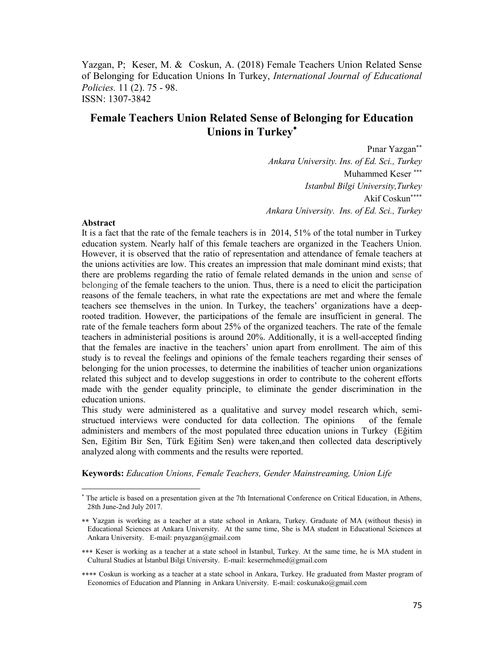Yazgan, P; Keser, M. & Coskun, A. (2018) Female Teachers Union Related Sense of Belonging for Education Unions In Turkey, *International Journal of Educational Policies.* 11 (2). 75 - 98. ISSN: 1307-3842

# **Female Teachers Union Related Sense of Belonging for Education Unions in Turkey**

Pınar Yazgan *Ankara University. Ins. of Ed. Sci., Turkey* Muhammed Keser *Istanbul Bilgi University,Turkey* Akif Coskun *Ankara University. Ins. of Ed. Sci., Turkey*

#### **Abstract**

 $\overline{a}$ 

It is a fact that the rate of the female teachers is in 2014, 51% of the total number in Turkey education system. Nearly half of this female teachers are organized in the Teachers Union. However, it is observed that the ratio of representation and attendance of female teachers at the unions activities are low. This creates an impression that male dominant mind exists; that there are problems regarding the ratio of female related demands in the union and sense of belonging of the female teachers to the union. Thus, there is a need to elicit the participation reasons of the female teachers, in what rate the expectations are met and where the female teachers see themselves in the union. In Turkey, the teachers' organizations have a deeprooted tradition. However, the participations of the female are insufficient in general. The rate of the female teachers form about 25% of the organized teachers. The rate of the female teachers in administerial positions is around 20%. Additionally, it is a well-accepted finding that the females are inactive in the teachers' union apart from enrollment. The aim of this study is to reveal the feelings and opinions of the female teachers regarding their senses of belonging for the union processes, to determine the inabilities of teacher union organizations related this subject and to develop suggestions in order to contribute to the coherent efforts made with the gender equality principle, to eliminate the gender discrimination in the education unions.

This study were administered as a qualitative and survey model research which, semistructued interviews were conducted for data collection. The opinions of the female administers and members of the most populated three education unions in Turkey (Eğitim Sen, Eğitim Bir Sen, Türk Eğitim Sen) were taken,and then collected data descriptively analyzed along with comments and the results were reported.

**Keywords:** *Education Unions, Female Teachers, Gender Mainstreaming, Union Life*

<sup>&</sup>lt;sup>\*</sup> The article is based on a presentation given at the 7th International Conference on Critical Education, in Athens, 28th June-2nd July 2017.

Yazgan is working as a teacher at a state school in Ankara, Turkey. Graduate of MA (without thesis) in Educational Sciences at Ankara University. At the same time, She is MA student in Educational Sciences at Ankara University. E-mail: pnyazgan@gmail.com

<sup>\*\*\*</sup> Keser is working as a teacher at a state school in Istanbul, Turkey. At the same time, he is MA student in Cultural Studies at İstanbul Bilgi University. E-mail: [kesermehmed@gmail.com](mailto:kesermehmed@gmail.com)

Coskun is working as a teacher at a state school in Ankara, Turkey. He graduated from Master program of Economics of Education and Planning in Ankara University. E-mail: [coskunako@gmail.com](mailto:coskunako@gmail.com)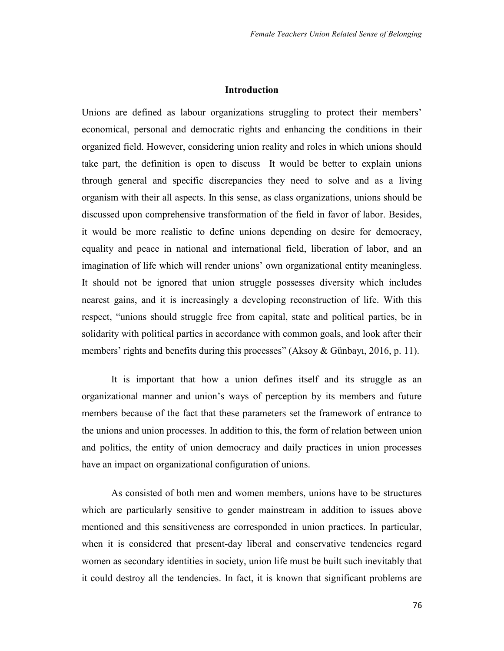### **Introduction**

Unions are defined as labour organizations struggling to protect their members' economical, personal and democratic rights and enhancing the conditions in their organized field. However, considering union reality and roles in which unions should take part, the definition is open to discuss It would be better to explain unions through general and specific discrepancies they need to solve and as a living organism with their all aspects. In this sense, as class organizations, unions should be discussed upon comprehensive transformation of the field in favor of labor. Besides, it would be more realistic to define unions depending on desire for democracy, equality and peace in national and international field, liberation of labor, and an imagination of life which will render unions' own organizational entity meaningless. It should not be ignored that union struggle possesses diversity which includes nearest gains, and it is increasingly a developing reconstruction of life. With this respect, "unions should struggle free from capital, state and political parties, be in solidarity with political parties in accordance with common goals, and look after their members' rights and benefits during this processes" (Aksoy & Günbayı, 2016, p. 11).

It is important that how a union defines itself and its struggle as an organizational manner and union's ways of perception by its members and future members because of the fact that these parameters set the framework of entrance to the unions and union processes. In addition to this, the form of relation between union and politics, the entity of union democracy and daily practices in union processes have an impact on organizational configuration of unions.

As consisted of both men and women members, unions have to be structures which are particularly sensitive to gender mainstream in addition to issues above mentioned and this sensitiveness are corresponded in union practices. In particular, when it is considered that present-day liberal and conservative tendencies regard women as secondary identities in society, union life must be built such inevitably that it could destroy all the tendencies. In fact, it is known that significant problems are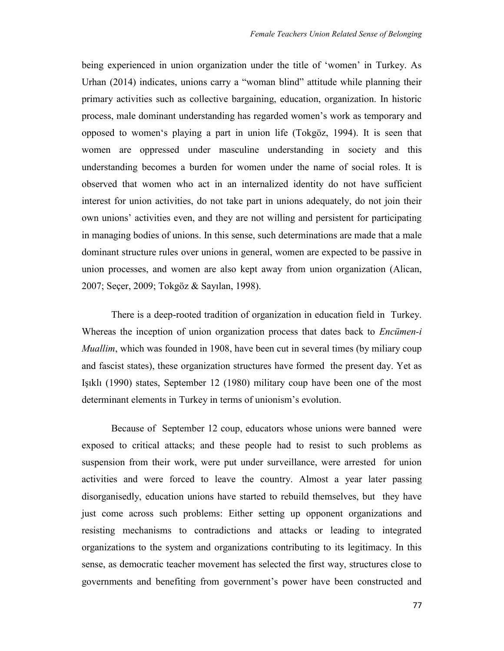being experienced in union organization under the title of 'women' in Turkey. As Urhan (2014) indicates, unions carry a "woman blind" attitude while planning their primary activities such as collective bargaining, education, organization. In historic process, male dominant understanding has regarded women's work as temporary and opposed to women's playing a part in union life (Tokgöz, 1994). It is seen that women are oppressed under masculine understanding in society and this understanding becomes a burden for women under the name of social roles. It is observed that women who act in an internalized identity do not have sufficient interest for union activities, do not take part in unions adequately, do not join their own unions' activities even, and they are not willing and persistent for participating in managing bodies of unions. In this sense, such determinations are made that a male dominant structure rules over unions in general, women are expected to be passive in union processes, and women are also kept away from union organization (Alican, 2007; Seçer, 2009; Tokgöz & Sayılan, 1998).

There is a deep-rooted tradition of organization in education field in Turkey. Whereas the inception of union organization process that dates back to *Encümen-i Muallim*, which was founded in 1908, have been cut in several times (by miliary coup and fascist states), these organization structures have formed the present day. Yet as Işıklı (1990) states, September 12 (1980) military coup have been one of the most determinant elements in Turkey in terms of unionism's evolution.

Because of September 12 coup, educators whose unions were banned were exposed to critical attacks; and these people had to resist to such problems as suspension from their work, were put under surveillance, were arrested for union activities and were forced to leave the country. Almost a year later passing disorganisedly, education unions have started to rebuild themselves, but they have just come across such problems: Either setting up opponent organizations and resisting mechanisms to contradictions and attacks or leading to integrated organizations to the system and organizations contributing to its legitimacy. In this sense, as democratic teacher movement has selected the first way, structures close to governments and benefiting from government's power have been constructed and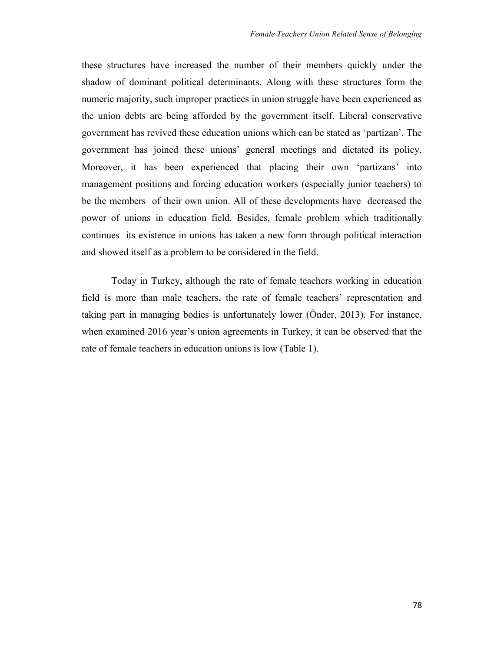these structures have increased the number of their members quickly under the shadow of dominant political determinants. Along with these structures form the numeric majority, such improper practices in union struggle have been experienced as the union debts are being afforded by the government itself. Liberal conservative government has revived these education unions which can be stated as 'partizan'. The government has joined these unions' general meetings and dictated its policy. Moreover, it has been experienced that placing their own 'partizans' into management positions and forcing education workers (especially junior teachers) to be the members of their own union. All of these developments have decreased the power of unions in education field. Besides, female problem which traditionally continues its existence in unions has taken a new form through political interaction and showed itself as a problem to be considered in the field.

Today in Turkey, although the rate of female teachers working in education field is more than male teachers, the rate of female teachers' representation and taking part in managing bodies is unfortunately lower (Önder, 2013). For instance, when examined 2016 year's union agreements in Turkey, it can be observed that the rate of female teachers in education unions is low (Table 1).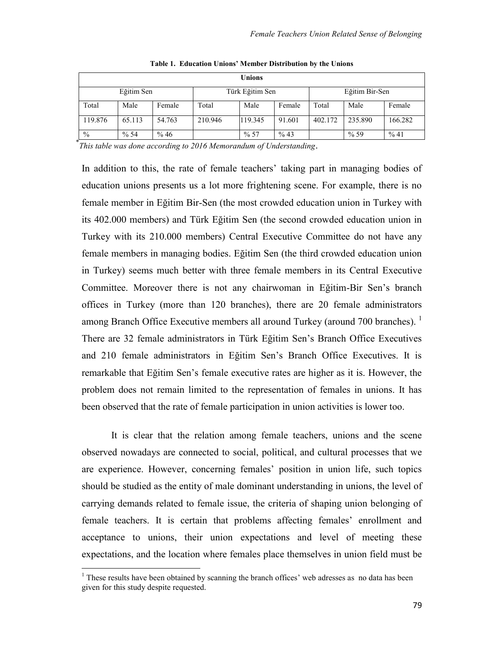| <b>Unions</b> |        |        |                 |         |        |                |         |         |
|---------------|--------|--------|-----------------|---------|--------|----------------|---------|---------|
| Eğitim Sen    |        |        | Türk Eğitim Sen |         |        | Eğitim Bir-Sen |         |         |
| Total         | Male   | Female | Total           | Male    | Female | Total          | Male    | Female  |
| 119.876       | 65.113 | 54.763 | 210.946         | 119.345 | 91.601 | 402.172        | 235.890 | 166.282 |
| $\frac{0}{0}$ | % 54   | % 46   |                 | %57     | % 43   |                | %59     | %41     |

**Table 1. Education Unions' Member Distribution by the Unions**

\* *This table was done according to 2016 Memorandum of Understanding*.

In addition to this, the rate of female teachers' taking part in managing bodies of education unions presents us a lot more frightening scene. For example, there is no female member in Eğitim Bir-Sen (the most crowded education union in Turkey with its 402.000 members) and Türk Eğitim Sen (the second crowded education union in Turkey with its 210.000 members) Central Executive Committee do not have any female members in managing bodies. Eğitim Sen (the third crowded education union in Turkey) seems much better with three female members in its Central Executive Committee. Moreover there is not any chairwoman in Eğitim-Bir Sen's branch offices in Turkey (more than 120 branches), there are 20 female administrators among Branch Office Executive members all around Turkey (around 700 branches).  $<sup>1</sup>$ </sup> There are 32 female administrators in Türk Eğitim Sen's Branch Office Executives and 210 female administrators in Eğitim Sen's Branch Office Executives. It is remarkable that Eğitim Sen's female executive rates are higher as it is. However, the problem does not remain limited to the representation of females in unions. It has been observed that the rate of female participation in union activities is lower too.

It is clear that the relation among female teachers, unions and the scene observed nowadays are connected to social, political, and cultural processes that we are experience. However, concerning females' position in union life, such topics should be studied as the entity of male dominant understanding in unions, the level of carrying demands related to female issue, the criteria of shaping union belonging of female teachers. It is certain that problems affecting females' enrollment and acceptance to unions, their union expectations and level of meeting these expectations, and the location where females place themselves in union field must be

 $\overline{a}$ 

 $<sup>1</sup>$  These results have been obtained by scanning the branch offices' web adresses as no data has been</sup> given for this study despite requested.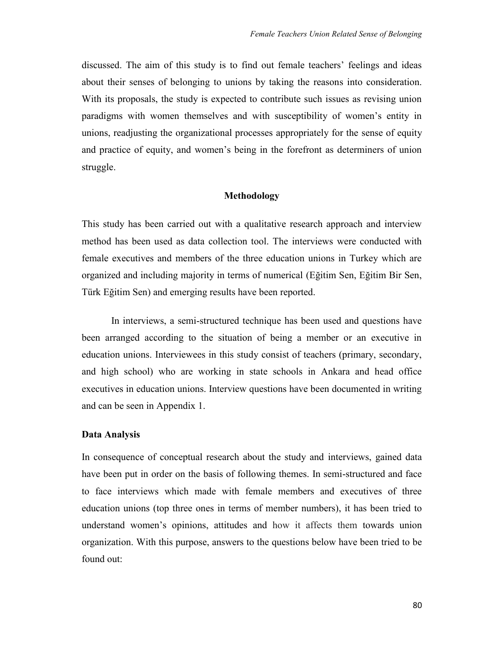discussed. The aim of this study is to find out female teachers' feelings and ideas about their senses of belonging to unions by taking the reasons into consideration. With its proposals, the study is expected to contribute such issues as revising union paradigms with women themselves and with susceptibility of women's entity in unions, readjusting the organizational processes appropriately for the sense of equity and practice of equity, and women's being in the forefront as determiners of union struggle.

### **Methodology**

This study has been carried out with a qualitative research approach and interview method has been used as data collection tool. The interviews were conducted with female executives and members of the three education unions in Turkey which are organized and including majority in terms of numerical (Eğitim Sen, Eğitim Bir Sen, Türk Eğitim Sen) and emerging results have been reported.

In interviews, a semi-structured technique has been used and questions have been arranged according to the situation of being a member or an executive in education unions. Interviewees in this study consist of teachers (primary, secondary, and high school) who are working in state schools in Ankara and head office executives in education unions. Interview questions have been documented in writing and can be seen in Appendix 1.

### **Data Analysis**

In consequence of conceptual research about the study and interviews, gained data have been put in order on the basis of following themes. In semi-structured and face to face interviews which made with female members and executives of three education unions (top three ones in terms of member numbers), it has been tried to understand women's opinions, attitudes and how it affects them towards union organization. With this purpose, answers to the questions below have been tried to be found out: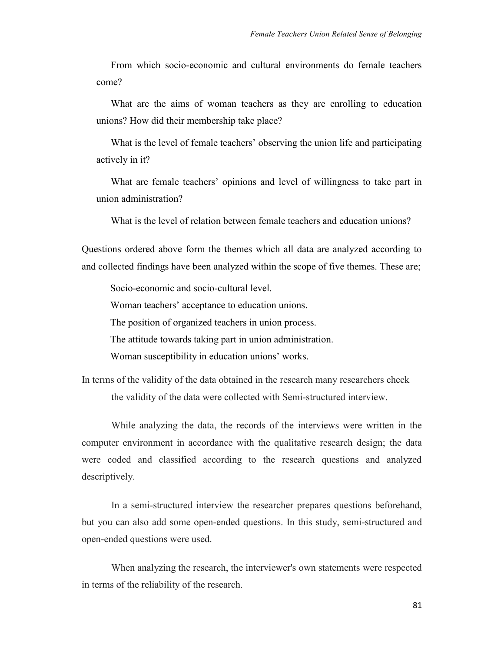From which socio-economic and cultural environments do female teachers come?

What are the aims of woman teachers as they are enrolling to education unions? How did their membership take place?

What is the level of female teachers' observing the union life and participating actively in it?

What are female teachers' opinions and level of willingness to take part in union administration?

What is the level of relation between female teachers and education unions?

Questions ordered above form the themes which all data are analyzed according to and collected findings have been analyzed within the scope of five themes. These are;

Socio-economic and socio-cultural level. Woman teachers' acceptance to education unions. The position of organized teachers in union process. The attitude towards taking part in union administration.

Woman susceptibility in education unions' works.

In terms of the validity of the data obtained in the research many researchers check the validity of the data were collected with Semi-structured interview.

While analyzing the data, the records of the interviews were written in the computer environment in accordance with the qualitative research design; the data were coded and classified according to the research questions and analyzed descriptively.

In a semi-structured interview the researcher prepares questions beforehand, but you can also add some open-ended questions. In this study, semi-structured and open-ended questions were used.

When analyzing the research, the interviewer's own statements were respected in terms of the reliability of the research.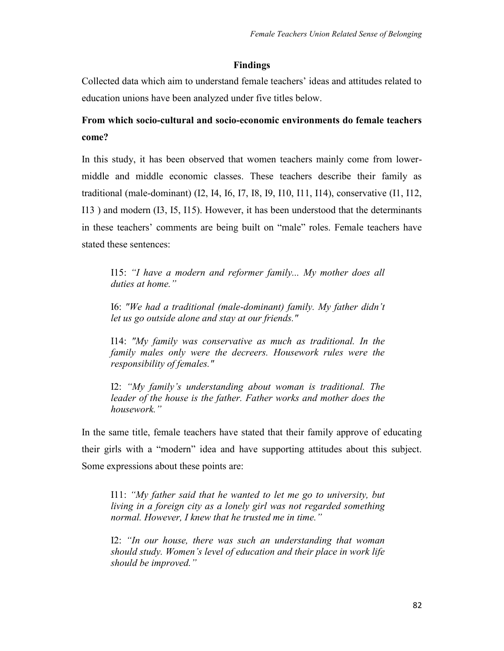### **Findings**

Collected data which aim to understand female teachers' ideas and attitudes related to education unions have been analyzed under five titles below.

# **From which socio-cultural and socio-economic environments do female teachers come?**

In this study, it has been observed that women teachers mainly come from lowermiddle and middle economic classes. These teachers describe their family as traditional (male-dominant) (I2, I4, I6, I7, I8, I9, I10, I11, I14), conservative (I1, I12, I13 ) and modern (I3, I5, I15). However, it has been understood that the determinants in these teachers' comments are being built on "male" roles. Female teachers have stated these sentences:

I15: *"I have a modern and reformer family... My mother does all duties at home."*

I6: *"We had a traditional (male-dominant) family. My father didn't let us go outside alone and stay at our friends."*

I14: *"My family was conservative as much as traditional. In the family males only were the decreers. Housework rules were the responsibility of females."*

I2: *"My family's understanding about woman is traditional. The leader of the house is the father. Father works and mother does the housework."* 

In the same title, female teachers have stated that their family approve of educating their girls with a "modern" idea and have supporting attitudes about this subject. Some expressions about these points are:

I11: *"My father said that he wanted to let me go to university, but living in a foreign city as a lonely girl was not regarded something normal. However, I knew that he trusted me in time."*

I2: *"In our house, there was such an understanding that woman should study. Women's level of education and their place in work life should be improved."*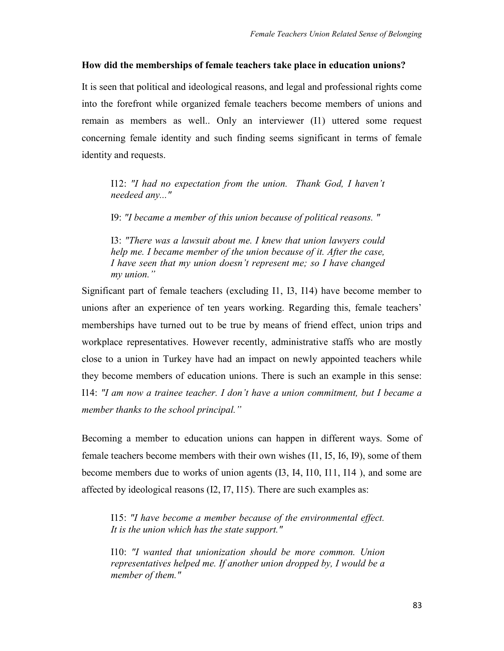### **How did the memberships of female teachers take place in education unions?**

It is seen that political and ideological reasons, and legal and professional rights come into the forefront while organized female teachers become members of unions and remain as members as well.. Only an interviewer (I1) uttered some request concerning female identity and such finding seems significant in terms of female identity and requests.

I12: *"I had no expectation from the union. Thank God, I haven't needeed any..."*

I9: *"I became a member of this union because of political reasons. "*

I3: *"There was a lawsuit about me. I knew that union lawyers could help me. I became member of the union because of it. After the case, I have seen that my union doesn't represent me; so I have changed my union."* 

Significant part of female teachers (excluding I1, I3, I14) have become member to unions after an experience of ten years working. Regarding this, female teachers' memberships have turned out to be true by means of friend effect, union trips and workplace representatives. However recently, administrative staffs who are mostly close to a union in Turkey have had an impact on newly appointed teachers while they become members of education unions. There is such an example in this sense: I14: *"I am now a trainee teacher. I don't have a union commitment, but I became a member thanks to the school principal."*

Becoming a member to education unions can happen in different ways. Some of female teachers become members with their own wishes (I1, I5, I6, I9), some of them become members due to works of union agents (I3, I4, I10, I11, I14 ), and some are affected by ideological reasons (I2, I7, I15). There are such examples as:

I15: *"I have become a member because of the environmental effect. It is the union which has the state support."*

I10: *"I wanted that unionization should be more common. Union representatives helped me. If another union dropped by, I would be a member of them."*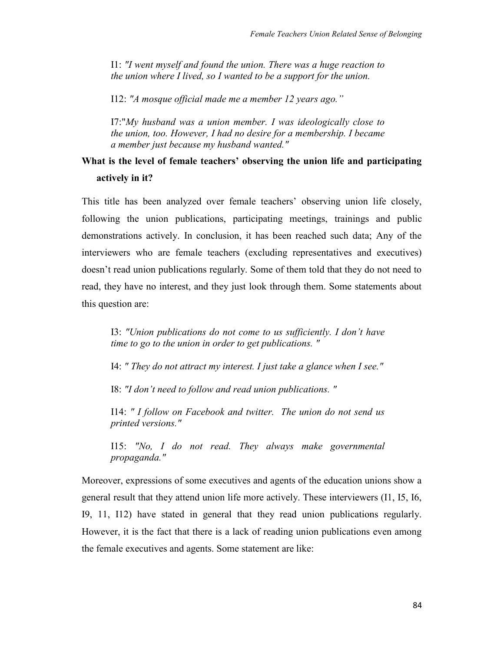I1: *"I went myself and found the union. There was a huge reaction to the union where I lived, so I wanted to be a support for the union.*

I12: *"A mosque official made me a member 12 years ago."* 

I7:"*My husband was a union member. I was ideologically close to the union, too. However, I had no desire for a membership. I became a member just because my husband wanted."*

## **What is the level of female teachers' observing the union life and participating actively in it?**

This title has been analyzed over female teachers' observing union life closely, following the union publications, participating meetings, trainings and public demonstrations actively. In conclusion, it has been reached such data; Any of the interviewers who are female teachers (excluding representatives and executives) doesn't read union publications regularly. Some of them told that they do not need to read, they have no interest, and they just look through them. Some statements about this question are:

I3: *"Union publications do not come to us sufficiently. I don't have time to go to the union in order to get publications. "*

I4: *" They do not attract my interest. I just take a glance when I see."*

I8: *"I don't need to follow and read union publications. "*

I14: *" I follow on Facebook and twitter. The union do not send us printed versions."*

I15: *"No, I do not read. They always make governmental propaganda."*

Moreover, expressions of some executives and agents of the education unions show a general result that they attend union life more actively. These interviewers (I1, I5, I6, I9, 11, I12) have stated in general that they read union publications regularly. However, it is the fact that there is a lack of reading union publications even among the female executives and agents. Some statement are like: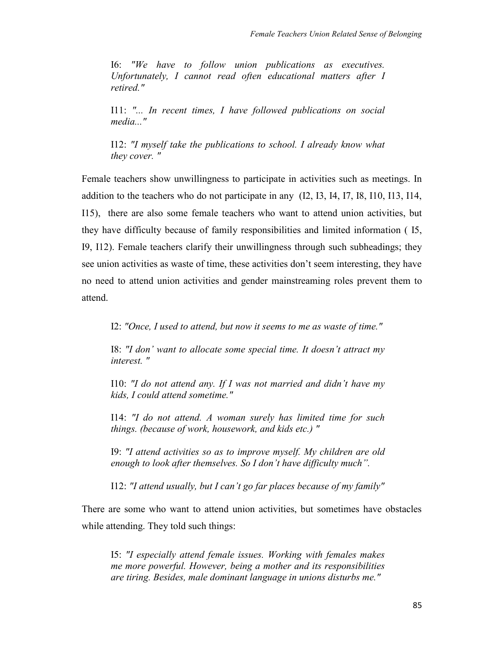I6: *"We have to follow union publications as executives. Unfortunately, I cannot read often educational matters after I retired."*

I11: *"... In recent times, I have followed publications on social media..."*

I12: *"I myself take the publications to school. I already know what they cover. "* 

Female teachers show unwillingness to participate in activities such as meetings. In addition to the teachers who do not participate in any (I2, I3, I4, I7, I8, I10, I13, I14, I15), there are also some female teachers who want to attend union activities, but they have difficulty because of family responsibilities and limited information ( I5, I9, I12). Female teachers clarify their unwillingness through such subheadings; they see union activities as waste of time, these activities don't seem interesting, they have no need to attend union activities and gender mainstreaming roles prevent them to attend.

I2: *"Once, I used to attend, but now it seems to me as waste of time."*

I8: *"I don' want to allocate some special time. It doesn't attract my interest. "*

I10: *"I do not attend any. If I was not married and didn't have my kids, I could attend sometime."*

I14: *"I do not attend. A woman surely has limited time for such things. (because of work, housework, and kids etc.) "*

I9: *"I attend activities so as to improve myself. My children are old enough to look after themselves. So I don't have difficulty much".*

I12: *"I attend usually, but I can't go far places because of my family"*

There are some who want to attend union activities, but sometimes have obstacles while attending. They told such things:

I5: *"I especially attend female issues. Working with females makes me more powerful. However, being a mother and its responsibilities are tiring. Besides, male dominant language in unions disturbs me."*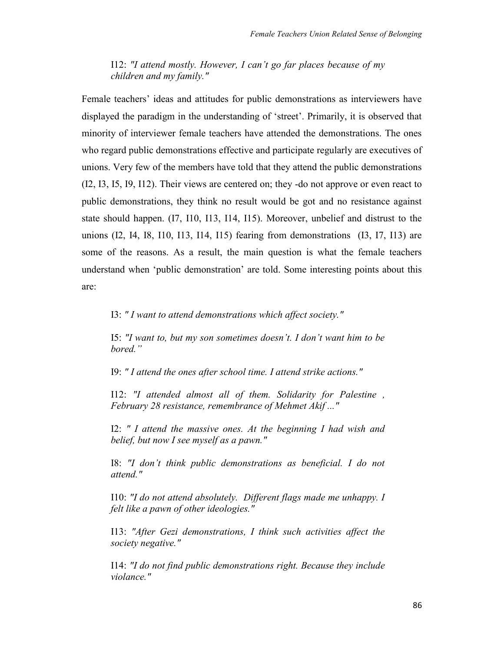I12: *"I attend mostly. However, I can't go far places because of my children and my family."*

Female teachers' ideas and attitudes for public demonstrations as interviewers have displayed the paradigm in the understanding of 'street'. Primarily, it is observed that minority of interviewer female teachers have attended the demonstrations. The ones who regard public demonstrations effective and participate regularly are executives of unions. Very few of the members have told that they attend the public demonstrations (I2, I3, I5, I9, I12). Their views are centered on; they -do not approve or even react to public demonstrations, they think no result would be got and no resistance against state should happen. (I7, I10, I13, I14, I15). Moreover, unbelief and distrust to the unions (I2, I4, I8, I10, I13, I14, I15) fearing from demonstrations (I3, I7, I13) are some of the reasons. As a result, the main question is what the female teachers understand when 'public demonstration' are told. Some interesting points about this are:

I3: *" I want to attend demonstrations which affect society."*

I5: *"I want to, but my son sometimes doesn't. I don't want him to be bored."*

I9: *" I attend the ones after school time. I attend strike actions."*

I12: *"I attended almost all of them. Solidarity for Palestine , February 28 resistance, remembrance of Mehmet Akif ..."*

I2: *" I attend the massive ones. At the beginning I had wish and belief, but now I see myself as a pawn."*

I8: *"I don't think public demonstrations as beneficial. I do not attend."*

I10: *"I do not attend absolutely. Different flags made me unhappy. I felt like a pawn of other ideologies."*

I13: *"After Gezi demonstrations, I think such activities affect the society negative."*

I14: *"I do not find public demonstrations right. Because they include violance."*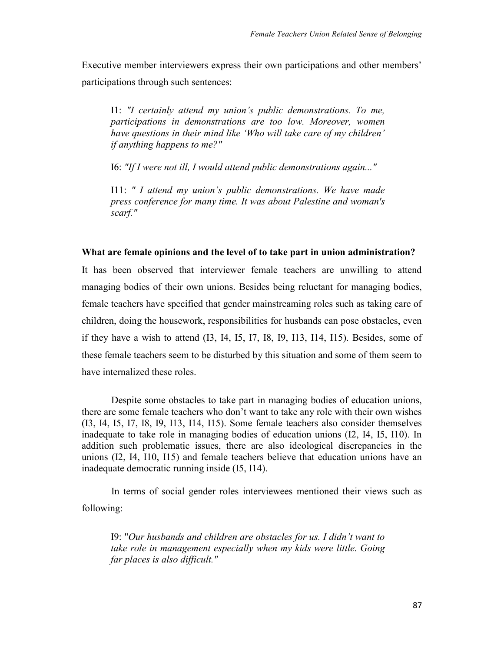Executive member interviewers express their own participations and other members' participations through such sentences:

I1: *"I certainly attend my union's public demonstrations. To me, participations in demonstrations are too low. Moreover, women have questions in their mind like 'Who will take care of my children' if anything happens to me?"*

I6: *"If I were not ill, I would attend public demonstrations again..."*

I11: *" I attend my union's public demonstrations. We have made press conference for many time. It was about Palestine and woman's scarf."*

#### **What are female opinions and the level of to take part in union administration?**

It has been observed that interviewer female teachers are unwilling to attend managing bodies of their own unions. Besides being reluctant for managing bodies, female teachers have specified that gender mainstreaming roles such as taking care of children, doing the housework, responsibilities for husbands can pose obstacles, even if they have a wish to attend (I3, I4, I5, I7, I8, I9, I13, I14, I15). Besides, some of these female teachers seem to be disturbed by this situation and some of them seem to have internalized these roles.

Despite some obstacles to take part in managing bodies of education unions, there are some female teachers who don't want to take any role with their own wishes (I3, I4, I5, I7, I8, I9, I13, I14, I15). Some female teachers also consider themselves inadequate to take role in managing bodies of education unions (I2, I4, I5, I10). In addition such problematic issues, there are also ideological discrepancies in the unions (I2, I4, I10, I15) and female teachers believe that education unions have an inadequate democratic running inside (I5, I14).

In terms of social gender roles interviewees mentioned their views such as following:

I9: "*Our husbands and children are obstacles for us. I didn't want to take role in management especially when my kids were little. Going far places is also difficult."*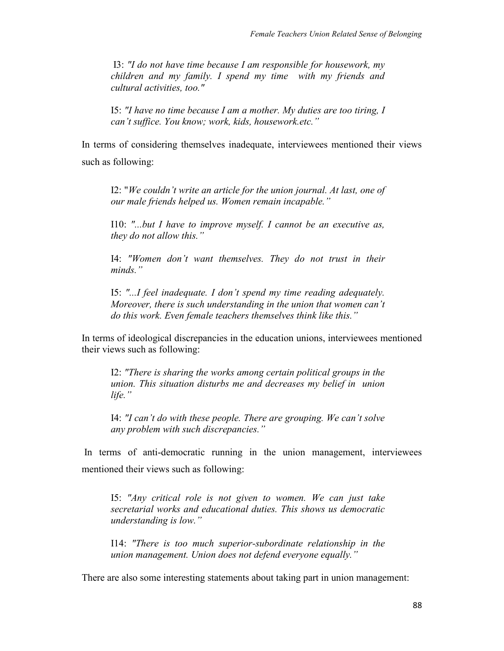I3: *"I do not have time because I am responsible for housework, my children and my family. I spend my time with my friends and cultural activities, too."*

I5: *"I have no time because I am a mother. My duties are too tiring, I can't suffice. You know; work, kids, housework.etc."*

In terms of considering themselves inadequate, interviewees mentioned their views such as following:

I2: "*We couldn't write an article for the union journal. At last, one of our male friends helped us. Women remain incapable."* 

I10: *"...but I have to improve myself. I cannot be an executive as, they do not allow this."* 

I4: *"Women don't want themselves. They do not trust in their minds."*

I5: *"...I feel inadequate. I don't spend my time reading adequately. Moreover, there is such understanding in the union that women can't do this work. Even female teachers themselves think like this."*

In terms of ideological discrepancies in the education unions, interviewees mentioned their views such as following:

I2: *"There is sharing the works among certain political groups in the union. This situation disturbs me and decreases my belief in union life."*

I4: *"I can't do with these people. There are grouping. We can't solve any problem with such discrepancies."*

In terms of anti-democratic running in the union management, interviewees mentioned their views such as following:

I5: *"Any critical role is not given to women. We can just take secretarial works and educational duties. This shows us democratic understanding is low."*

I14: *"There is too much superior-subordinate relationship in the union management. Union does not defend everyone equally."*

There are also some interesting statements about taking part in union management: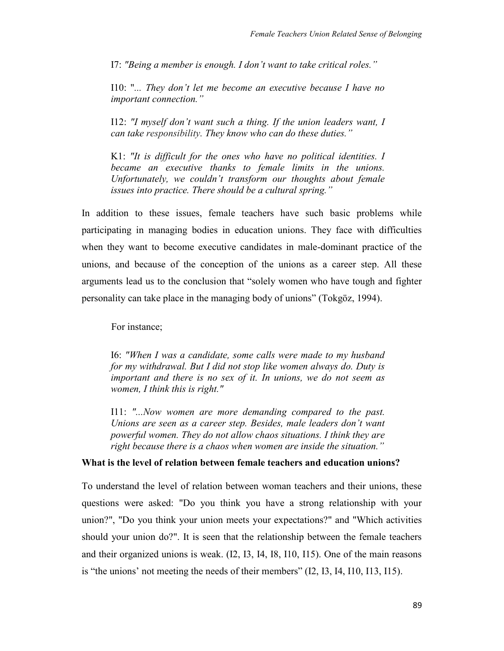I7: *"Being a member is enough. I don't want to take critical roles."*

I10: "*... They don't let me become an executive because I have no important connection."* 

I12: *"I myself don't want such a thing. If the union leaders want, I can take responsibility. They know who can do these duties."* 

K1: *"It is difficult for the ones who have no political identities. I became an executive thanks to female limits in the unions. Unfortunately, we couldn't transform our thoughts about female issues into practice. There should be a cultural spring."* 

In addition to these issues, female teachers have such basic problems while participating in managing bodies in education unions. They face with difficulties when they want to become executive candidates in male-dominant practice of the unions, and because of the conception of the unions as a career step. All these arguments lead us to the conclusion that "solely women who have tough and fighter personality can take place in the managing body of unions" (Tokgöz, 1994).

For instance;

I6: *"When I was a candidate, some calls were made to my husband for my withdrawal. But I did not stop like women always do. Duty is important and there is no sex of it. In unions, we do not seem as women, I think this is right."*

I11: *"...Now women are more demanding compared to the past. Unions are seen as a career step. Besides, male leaders don't want powerful women. They do not allow chaos situations. I think they are right because there is a chaos when women are inside the situation."*

### **What is the level of relation between female teachers and education unions?**

To understand the level of relation between woman teachers and their unions, these questions were asked: "Do you think you have a strong relationship with your union?", "Do you think your union meets your expectations?" and "Which activities should your union do?". It is seen that the relationship between the female teachers and their organized unions is weak. (I2, I3, I4, I8, I10, I15). One of the main reasons is "the unions' not meeting the needs of their members" (I2, I3, I4, I10, I13, I15).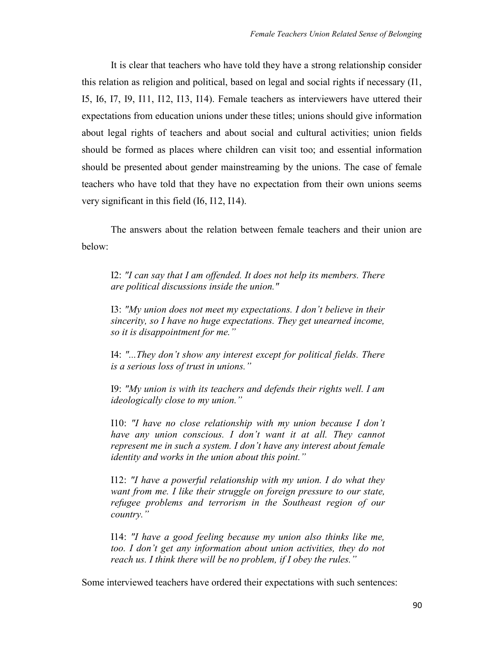It is clear that teachers who have told they have a strong relationship consider this relation as religion and political, based on legal and social rights if necessary (I1, I5, I6, I7, I9, I11, I12, I13, I14). Female teachers as interviewers have uttered their expectations from education unions under these titles; unions should give information about legal rights of teachers and about social and cultural activities; union fields should be formed as places where children can visit too; and essential information should be presented about gender mainstreaming by the unions. The case of female teachers who have told that they have no expectation from their own unions seems very significant in this field (I6, I12, I14).

The answers about the relation between female teachers and their union are below:

I2: *"I can say that I am offended. It does not help its members. There are political discussions inside the union."*

I3: *"My union does not meet my expectations. I don't believe in their sincerity, so I have no huge expectations. They get unearned income, so it is disappointment for me."* 

I4: *"...They don't show any interest except for political fields. There is a serious loss of trust in unions."* 

I9: *"My union is with its teachers and defends their rights well. I am ideologically close to my union."* 

I10: *"I have no close relationship with my union because I don't have any union conscious. I don't want it at all. They cannot represent me in such a system. I don't have any interest about female identity and works in the union about this point."*

I12: *"I have a powerful relationship with my union. I do what they want from me. I like their struggle on foreign pressure to our state, refugee problems and terrorism in the Southeast region of our country."*

I14: *"I have a good feeling because my union also thinks like me, too. I don't get any information about union activities, they do not reach us. I think there will be no problem, if I obey the rules."*

Some interviewed teachers have ordered their expectations with such sentences: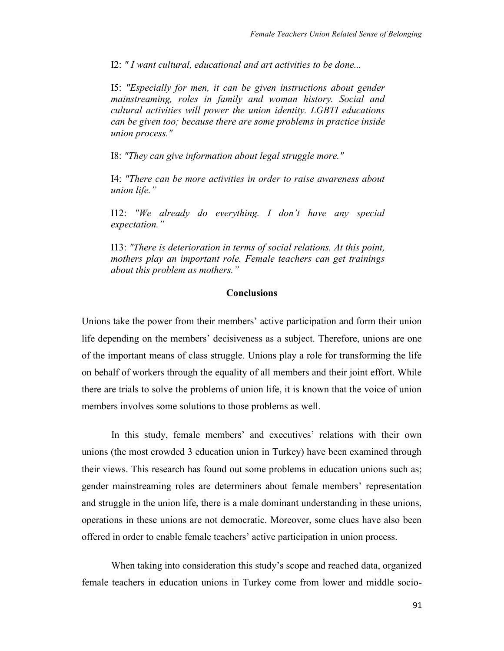I2: *" I want cultural, educational and art activities to be done...*

I5: *"Especially for men, it can be given instructions about gender mainstreaming, roles in family and woman history. Social and cultural activities will power the union identity. LGBTI educations can be given too; because there are some problems in practice inside union process."*

I8: *"They can give information about legal struggle more."*

I4: *"There can be more activities in order to raise awareness about union life."*

I12: *"We already do everything. I don't have any special expectation."*

I13: *"There is deterioration in terms of social relations. At this point, mothers play an important role. Female teachers can get trainings about this problem as mothers."*

### **Conclusions**

Unions take the power from their members' active participation and form their union life depending on the members' decisiveness as a subject. Therefore, unions are one of the important means of class struggle. Unions play a role for transforming the life on behalf of workers through the equality of all members and their joint effort. While there are trials to solve the problems of union life, it is known that the voice of union members involves some solutions to those problems as well.

In this study, female members' and executives' relations with their own unions (the most crowded 3 education union in Turkey) have been examined through their views. This research has found out some problems in education unions such as; gender mainstreaming roles are determiners about female members' representation and struggle in the union life, there is a male dominant understanding in these unions, operations in these unions are not democratic. Moreover, some clues have also been offered in order to enable female teachers' active participation in union process.

When taking into consideration this study's scope and reached data, organized female teachers in education unions in Turkey come from lower and middle socio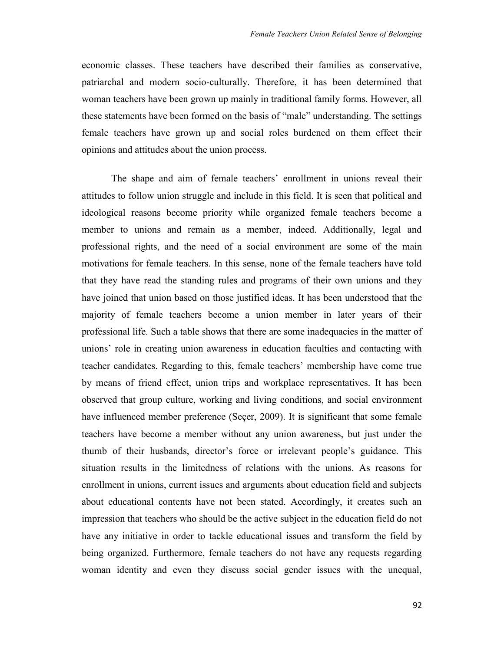economic classes. These teachers have described their families as conservative, patriarchal and modern socio-culturally. Therefore, it has been determined that woman teachers have been grown up mainly in traditional family forms. However, all these statements have been formed on the basis of "male" understanding. The settings female teachers have grown up and social roles burdened on them effect their opinions and attitudes about the union process.

The shape and aim of female teachers' enrollment in unions reveal their attitudes to follow union struggle and include in this field. It is seen that political and ideological reasons become priority while organized female teachers become a member to unions and remain as a member, indeed. Additionally, legal and professional rights, and the need of a social environment are some of the main motivations for female teachers. In this sense, none of the female teachers have told that they have read the standing rules and programs of their own unions and they have joined that union based on those justified ideas. It has been understood that the majority of female teachers become a union member in later years of their professional life. Such a table shows that there are some inadequacies in the matter of unions' role in creating union awareness in education faculties and contacting with teacher candidates. Regarding to this, female teachers' membership have come true by means of friend effect, union trips and workplace representatives. It has been observed that group culture, working and living conditions, and social environment have influenced member preference (Seçer, 2009). It is significant that some female teachers have become a member without any union awareness, but just under the thumb of their husbands, director's force or irrelevant people's guidance. This situation results in the limitedness of relations with the unions. As reasons for enrollment in unions, current issues and arguments about education field and subjects about educational contents have not been stated. Accordingly, it creates such an impression that teachers who should be the active subject in the education field do not have any initiative in order to tackle educational issues and transform the field by being organized. Furthermore, female teachers do not have any requests regarding woman identity and even they discuss social gender issues with the unequal,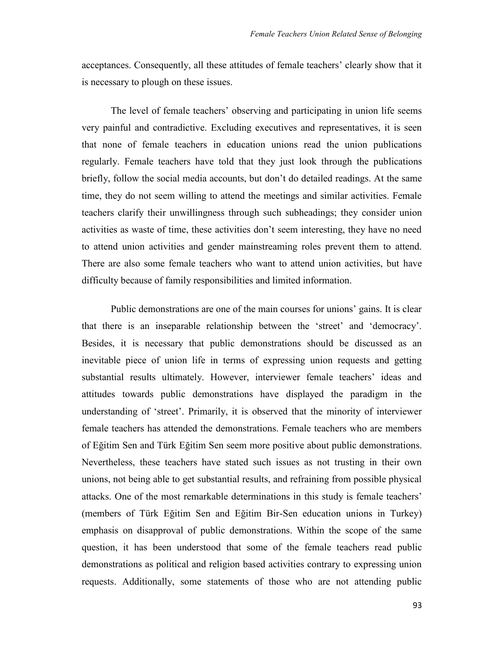acceptances. Consequently, all these attitudes of female teachers' clearly show that it is necessary to plough on these issues.

The level of female teachers' observing and participating in union life seems very painful and contradictive. Excluding executives and representatives, it is seen that none of female teachers in education unions read the union publications regularly. Female teachers have told that they just look through the publications briefly, follow the social media accounts, but don't do detailed readings. At the same time, they do not seem willing to attend the meetings and similar activities. Female teachers clarify their unwillingness through such subheadings; they consider union activities as waste of time, these activities don't seem interesting, they have no need to attend union activities and gender mainstreaming roles prevent them to attend. There are also some female teachers who want to attend union activities, but have difficulty because of family responsibilities and limited information.

Public demonstrations are one of the main courses for unions' gains. It is clear that there is an inseparable relationship between the 'street' and 'democracy'. Besides, it is necessary that public demonstrations should be discussed as an inevitable piece of union life in terms of expressing union requests and getting substantial results ultimately. However, interviewer female teachers' ideas and attitudes towards public demonstrations have displayed the paradigm in the understanding of 'street'. Primarily, it is observed that the minority of interviewer female teachers has attended the demonstrations. Female teachers who are members of Eğitim Sen and Türk Eğitim Sen seem more positive about public demonstrations. Nevertheless, these teachers have stated such issues as not trusting in their own unions, not being able to get substantial results, and refraining from possible physical attacks. One of the most remarkable determinations in this study is female teachers' (members of Türk Eğitim Sen and Eğitim Bir-Sen education unions in Turkey) emphasis on disapproval of public demonstrations. Within the scope of the same question, it has been understood that some of the female teachers read public demonstrations as political and religion based activities contrary to expressing union requests. Additionally, some statements of those who are not attending public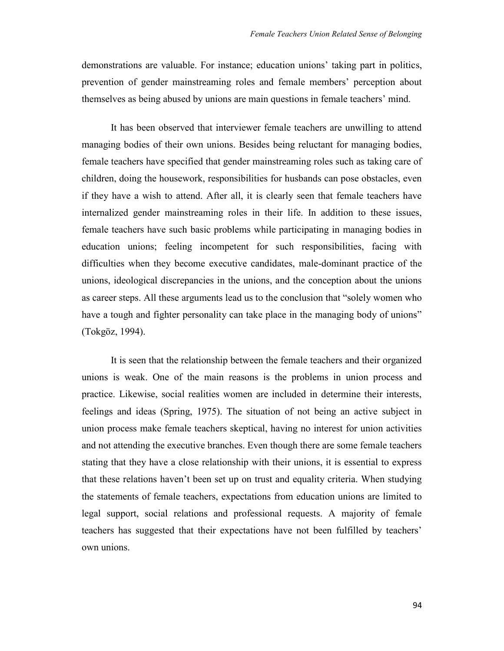demonstrations are valuable. For instance; education unions' taking part in politics, prevention of gender mainstreaming roles and female members' perception about themselves as being abused by unions are main questions in female teachers' mind.

It has been observed that interviewer female teachers are unwilling to attend managing bodies of their own unions. Besides being reluctant for managing bodies, female teachers have specified that gender mainstreaming roles such as taking care of children, doing the housework, responsibilities for husbands can pose obstacles, even if they have a wish to attend. After all, it is clearly seen that female teachers have internalized gender mainstreaming roles in their life. In addition to these issues, female teachers have such basic problems while participating in managing bodies in education unions; feeling incompetent for such responsibilities, facing with difficulties when they become executive candidates, male-dominant practice of the unions, ideological discrepancies in the unions, and the conception about the unions as career steps. All these arguments lead us to the conclusion that "solely women who have a tough and fighter personality can take place in the managing body of unions" (Tokgöz, 1994).

It is seen that the relationship between the female teachers and their organized unions is weak. One of the main reasons is the problems in union process and practice. Likewise, social realities women are included in determine their interests, feelings and ideas (Spring, 1975). The situation of not being an active subject in union process make female teachers skeptical, having no interest for union activities and not attending the executive branches. Even though there are some female teachers stating that they have a close relationship with their unions, it is essential to express that these relations haven't been set up on trust and equality criteria. When studying the statements of female teachers, expectations from education unions are limited to legal support, social relations and professional requests. A majority of female teachers has suggested that their expectations have not been fulfilled by teachers' own unions.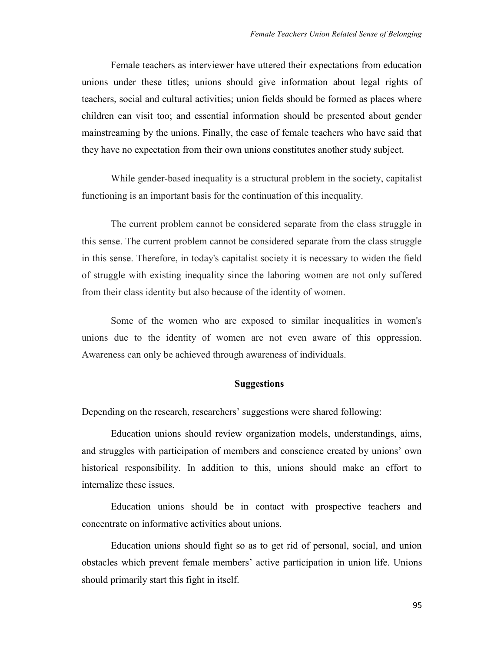Female teachers as interviewer have uttered their expectations from education unions under these titles; unions should give information about legal rights of teachers, social and cultural activities; union fields should be formed as places where children can visit too; and essential information should be presented about gender mainstreaming by the unions. Finally, the case of female teachers who have said that they have no expectation from their own unions constitutes another study subject.

While gender-based inequality is a structural problem in the society, capitalist functioning is an important basis for the continuation of this inequality.

The current problem cannot be considered separate from the class struggle in this sense. The current problem cannot be considered separate from the class struggle in this sense. Therefore, in today's capitalist society it is necessary to widen the field of struggle with existing inequality since the laboring women are not only suffered from their class identity but also because of the identity of women.

Some of the women who are exposed to similar inequalities in women's unions due to the identity of women are not even aware of this oppression. Awareness can only be achieved through awareness of individuals.

### **Suggestions**

Depending on the research, researchers' suggestions were shared following:

Education unions should review organization models, understandings, aims, and struggles with participation of members and conscience created by unions' own historical responsibility. In addition to this, unions should make an effort to internalize these issues.

Education unions should be in contact with prospective teachers and concentrate on informative activities about unions.

Education unions should fight so as to get rid of personal, social, and union obstacles which prevent female members' active participation in union life. Unions should primarily start this fight in itself.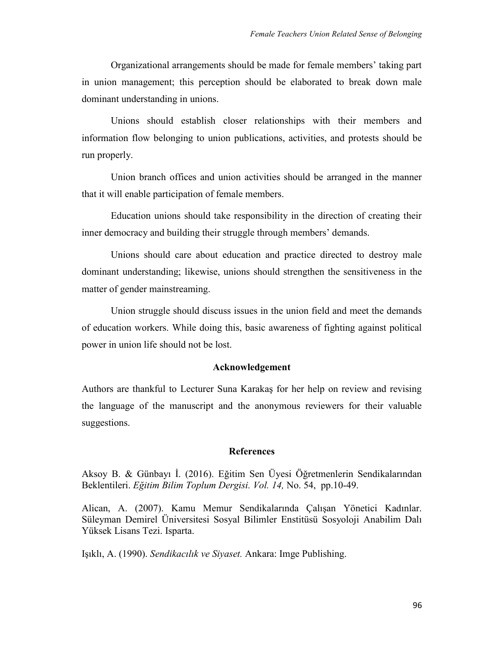Organizational arrangements should be made for female members' taking part in union management; this perception should be elaborated to break down male dominant understanding in unions.

Unions should establish closer relationships with their members and information flow belonging to union publications, activities, and protests should be run properly.

Union branch offices and union activities should be arranged in the manner that it will enable participation of female members.

Education unions should take responsibility in the direction of creating their inner democracy and building their struggle through members' demands.

Unions should care about education and practice directed to destroy male dominant understanding; likewise, unions should strengthen the sensitiveness in the matter of gender mainstreaming.

Union struggle should discuss issues in the union field and meet the demands of education workers. While doing this, basic awareness of fighting against political power in union life should not be lost.

### **Acknowledgement**

Authors are thankful to Lecturer Suna Karakaş for her help on review and revising the language of the manuscript and the anonymous reviewers for their valuable suggestions.

#### **References**

Aksoy B. & Günbayı İ. (2016). Eğitim Sen Üyesi Öğretmenlerin Sendikalarından Beklentileri. *Eğitim Bilim Toplum Dergisi. Vol. 14,* No. 54, pp.10-49.

Alican, A. (2007). Kamu Memur Sendikalarında Çalışan Yönetici Kadınlar. Süleyman Demirel Üniversitesi Sosyal Bilimler Enstitüsü Sosyoloji Anabilim Dalı Yüksek Lisans Tezi. Isparta.

Işıklı, A. (1990). *Sendikacılık ve Siyaset.* Ankara: Imge Publishing.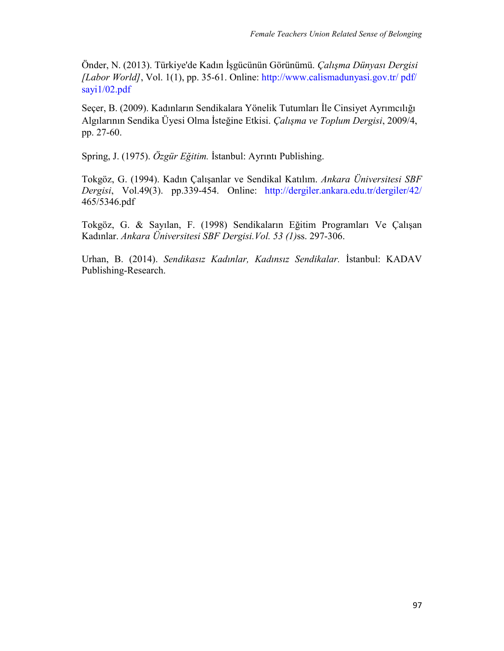Önder, N. (2013). Türkiye'de Kadın İşgücünün Görünümü. *Çalışma Dünyası Dergisi [Labor World]*, Vol. 1(1), pp. 35-61. Online: [http://www.calismadunyasi.gov.tr/ pdf/](http://www.calismadunyasi.gov.tr/%20pdf/sayi1/02.pdf) [sayi1/02.pdf](http://www.calismadunyasi.gov.tr/%20pdf/sayi1/02.pdf)

Seçer, B. (2009). Kadınların Sendikalara Yönelik Tutumları İle Cinsiyet Ayrımcılığı Algılarının Sendika Üyesi Olma İsteğine Etkisi. *Çalışma ve Toplum Dergisi*, 2009/4, pp. 27-60.

Spring, J. (1975). *Özgür Eğitim.* İstanbul: Ayrıntı Publishing.

Tokgöz, G. (1994). Kadın Çalışanlar ve Sendikal Katılım. *Ankara Üniversitesi SBF Dergisi*, Vol.49(3). pp.339-454. Online: <http://dergiler.ankara.edu.tr/dergiler/42/> 465/5346.pdf

Tokgöz, G. & Sayılan, F. (1998) Sendikaların Eğitim Programları Ve Çalışan Kadınlar. *Ankara Üniversitesi SBF Dergisi.Vol. 53 (1)*ss. 297-306.

Urhan, B. (2014). *Sendikasız Kadınlar, Kadınsız Sendikalar.* İstanbul: KADAV Publishing-Research.